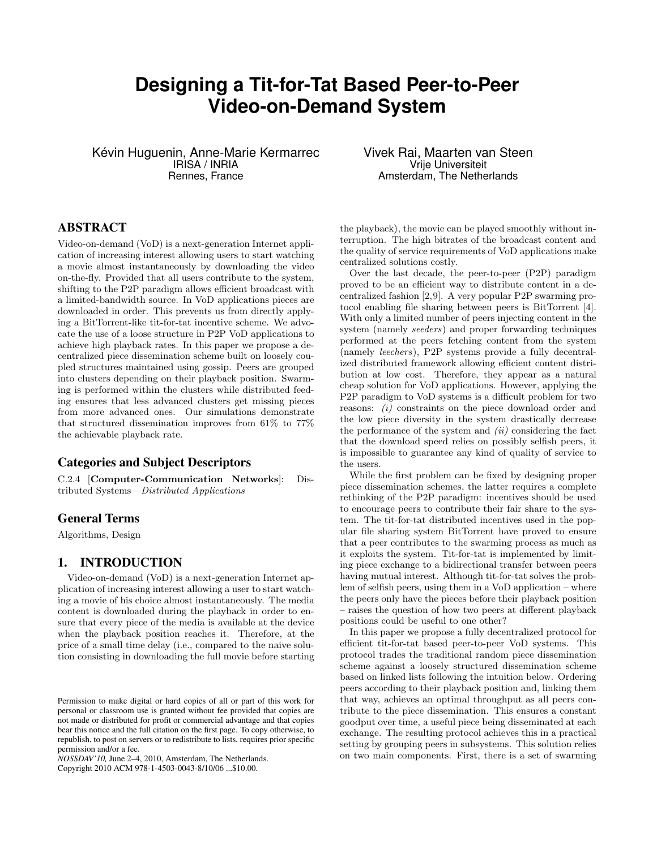# **Designing a Tit-for-Tat Based Peer-to-Peer Video-on-Demand System**

Kévin Huguenin, Anne-Marie Kermarrec IRISA / INRIA Rennes, France

Vivek Rai, Maarten van Steen Vrije Universiteit Amsterdam, The Netherlands

# **ABSTRACT**

Video-on-demand (VoD) is a next-generation Internet application of increasing interest allowing users to start watching a movie almost instantaneously by downloading the video on-the-fly. Provided that all users contribute to the system, shifting to the P2P paradigm allows efficient broadcast with a limited-bandwidth source. In VoD applications pieces are downloaded in order. This prevents us from directly applying a BitTorrent-like tit-for-tat incentive scheme. We advocate the use of a loose structure in P2P VoD applications to achieve high playback rates. In this paper we propose a decentralized piece dissemination scheme built on loosely coupled structures maintained using gossip. Peers are grouped into clusters depending on their playback position. Swarming is performed within the clusters while distributed feeding ensures that less advanced clusters get missing pieces from more advanced ones. Our simulations demonstrate that structured dissemination improves from 61% to 77% the achievable playback rate.

#### **Categories and Subject Descriptors**

C.2.4 [Computer-Communication Networks]: Distributed Systems—Distributed Applications

# **General Terms**

Algorithms, Design

# **1. INTRODUCTION**

Video-on-demand (VoD) is a next-generation Internet application of increasing interest allowing a user to start watching a movie of his choice almost instantaneously. The media content is downloaded during the playback in order to ensure that every piece of the media is available at the device when the playback position reaches it. Therefore, at the price of a small time delay (i.e., compared to the naive solution consisting in downloading the full movie before starting

*NOSSDAV'10,* June 2–4, 2010, Amsterdam, The Netherlands.

Copyright 2010 ACM 978-1-4503-0043-8/10/06 ...\$10.00.

the playback), the movie can be played smoothly without interruption. The high bitrates of the broadcast content and the quality of service requirements of VoD applications make centralized solutions costly.

Over the last decade, the peer-to-peer (P2P) paradigm proved to be an efficient way to distribute content in a decentralized fashion [2,9]. A very popular P2P swarming protocol enabling file sharing between peers is BitTorrent [4]. With only a limited number of peers injecting content in the system (namely seeders) and proper forwarding techniques performed at the peers fetching content from the system (namely leechers), P2P systems provide a fully decentralized distributed framework allowing efficient content distribution at low cost. Therefore, they appear as a natural cheap solution for VoD applications. However, applying the P2P paradigm to VoD systems is a difficult problem for two reasons: (i) constraints on the piece download order and the low piece diversity in the system drastically decrease the performance of the system and  $(ii)$  considering the fact that the download speed relies on possibly selfish peers, it is impossible to guarantee any kind of quality of service to the users.

While the first problem can be fixed by designing proper piece dissemination schemes, the latter requires a complete rethinking of the P2P paradigm: incentives should be used to encourage peers to contribute their fair share to the system. The tit-for-tat distributed incentives used in the popular file sharing system BitTorrent have proved to ensure that a peer contributes to the swarming process as much as it exploits the system. Tit-for-tat is implemented by limiting piece exchange to a bidirectional transfer between peers having mutual interest. Although tit-for-tat solves the problem of selfish peers, using them in a VoD application – where the peers only have the pieces before their playback position – raises the question of how two peers at different playback positions could be useful to one other?

In this paper we propose a fully decentralized protocol for efficient tit-for-tat based peer-to-peer VoD systems. This protocol trades the traditional random piece dissemination scheme against a loosely structured dissemination scheme based on linked lists following the intuition below. Ordering peers according to their playback position and, linking them that way, achieves an optimal throughput as all peers contribute to the piece dissemination. This ensures a constant goodput over time, a useful piece being disseminated at each exchange. The resulting protocol achieves this in a practical setting by grouping peers in subsystems. This solution relies on two main components. First, there is a set of swarming

Permission to make digital or hard copies of all or part of this work for personal or classroom use is granted without fee provided that copies are not made or distributed for profit or commercial advantage and that copies bear this notice and the full citation on the first page. To copy otherwise, to republish, to post on servers or to redistribute to lists, requires prior specific permission and/or a fee.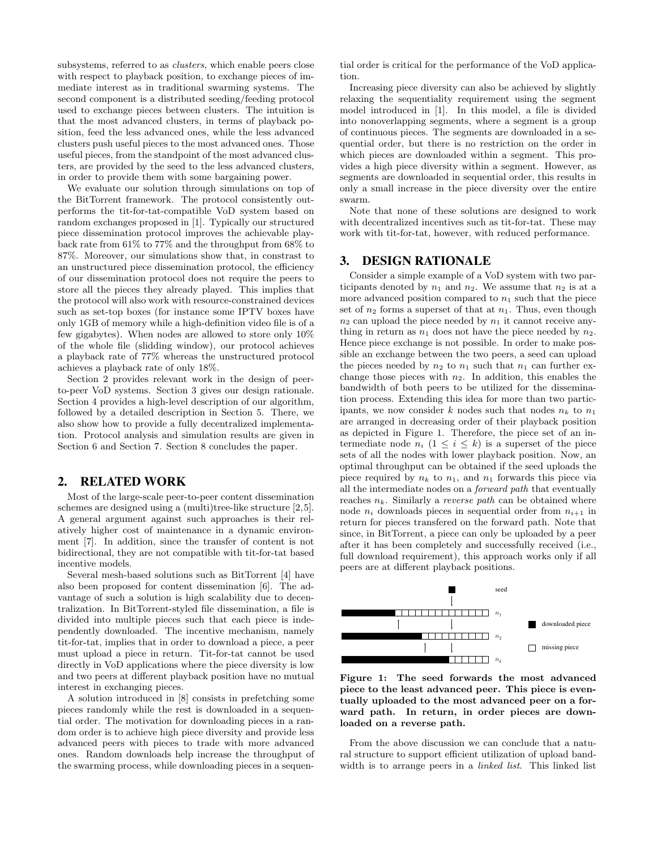subsystems, referred to as *clusters*, which enable peers close with respect to playback position, to exchange pieces of immediate interest as in traditional swarming systems. The second component is a distributed seeding/feeding protocol used to exchange pieces between clusters. The intuition is that the most advanced clusters, in terms of playback position, feed the less advanced ones, while the less advanced clusters push useful pieces to the most advanced ones. Those useful pieces, from the standpoint of the most advanced clusters, are provided by the seed to the less advanced clusters, in order to provide them with some bargaining power.

We evaluate our solution through simulations on top of the BitTorrent framework. The protocol consistently outperforms the tit-for-tat-compatible VoD system based on random exchanges proposed in [1]. Typically our structured piece dissemination protocol improves the achievable playback rate from 61% to 77% and the throughput from 68% to 87%. Moreover, our simulations show that, in constrast to an unstructured piece dissemination protocol, the efficiency of our dissemination protocol does not require the peers to store all the pieces they already played. This implies that the protocol will also work with resource-constrained devices such as set-top boxes (for instance some IPTV boxes have only 1GB of memory while a high-definition video file is of a few gigabytes). When nodes are allowed to store only 10% of the whole file (slidding window), our protocol achieves a playback rate of 77% whereas the unstructured protocol achieves a playback rate of only 18%.

Section 2 provides relevant work in the design of peerto-peer VoD systems. Section 3 gives our design rationale. Section 4 provides a high-level description of our algorithm, followed by a detailed description in Section 5. There, we also show how to provide a fully decentralized implementation. Protocol analysis and simulation results are given in Section 6 and Section 7. Section 8 concludes the paper.

## **2. RELATED WORK**

Most of the large-scale peer-to-peer content dissemination schemes are designed using a (multi)tree-like structure [2,5]. A general argument against such approaches is their relatively higher cost of maintenance in a dynamic environment [7]. In addition, since the transfer of content is not bidirectional, they are not compatible with tit-for-tat based incentive models.

Several mesh-based solutions such as BitTorrent [4] have also been proposed for content dissemination [6]. The advantage of such a solution is high scalability due to decentralization. In BitTorrent-styled file dissemination, a file is divided into multiple pieces such that each piece is independently downloaded. The incentive mechanism, namely tit-for-tat, implies that in order to download a piece, a peer must upload a piece in return. Tit-for-tat cannot be used directly in VoD applications where the piece diversity is low and two peers at different playback position have no mutual interest in exchanging pieces.

A solution introduced in [8] consists in prefetching some pieces randomly while the rest is downloaded in a sequential order. The motivation for downloading pieces in a random order is to achieve high piece diversity and provide less advanced peers with pieces to trade with more advanced ones. Random downloads help increase the throughput of the swarming process, while downloading pieces in a sequential order is critical for the performance of the VoD application.

Increasing piece diversity can also be achieved by slightly relaxing the sequentiality requirement using the segment model introduced in [1]. In this model, a file is divided into nonoverlapping segments, where a segment is a group of continuous pieces. The segments are downloaded in a sequential order, but there is no restriction on the order in which pieces are downloaded within a segment. This provides a high piece diversity within a segment. However, as segments are downloaded in sequential order, this results in only a small increase in the piece diversity over the entire swarm.

Note that none of these solutions are designed to work with decentralized incentives such as tit-for-tat. These may work with tit-for-tat, however, with reduced performance.

## **3. DESIGN RATIONALE**

Consider a simple example of a VoD system with two participants denoted by  $n_1$  and  $n_2$ . We assume that  $n_2$  is at a more advanced position compared to  $n_1$  such that the piece set of  $n_2$  forms a superset of that at  $n_1$ . Thus, even though  $n_2$  can upload the piece needed by  $n_1$  it cannot receive anything in return as  $n_1$  does not have the piece needed by  $n_2$ . Hence piece exchange is not possible. In order to make possible an exchange between the two peers, a seed can upload the pieces needed by  $n_2$  to  $n_1$  such that  $n_1$  can further exchange those pieces with  $n_2$ . In addition, this enables the bandwidth of both peers to be utilized for the dissemination process. Extending this idea for more than two participants, we now consider k nodes such that nodes  $n_k$  to  $n_1$ are arranged in decreasing order of their playback position as depicted in Figure 1. Therefore, the piece set of an intermediate node  $n_i$   $(1 \leq i \leq k)$  is a superset of the piece sets of all the nodes with lower playback position. Now, an optimal throughput can be obtained if the seed uploads the piece required by  $n_k$  to  $n_1$ , and  $n_1$  forwards this piece via all the intermediate nodes on a forward path that eventually reaches  $n_k$ . Similarly a *reverse path* can be obtained where node  $n_i$  downloads pieces in sequential order from  $n_{i+1}$  in return for pieces transfered on the forward path. Note that since, in BitTorrent, a piece can only be uploaded by a peer after it has been completely and successfully received (i.e., full download requirement), this approach works only if all peers are at different playback positions.



Figure 1: The seed forwards the most advanced piece to the least advanced peer. This piece is eventually uploaded to the most advanced peer on a forward path. In return, in order pieces are downloaded on a reverse path.

From the above discussion we can conclude that a natural structure to support efficient utilization of upload bandwidth is to arrange peers in a *linked list*. This linked list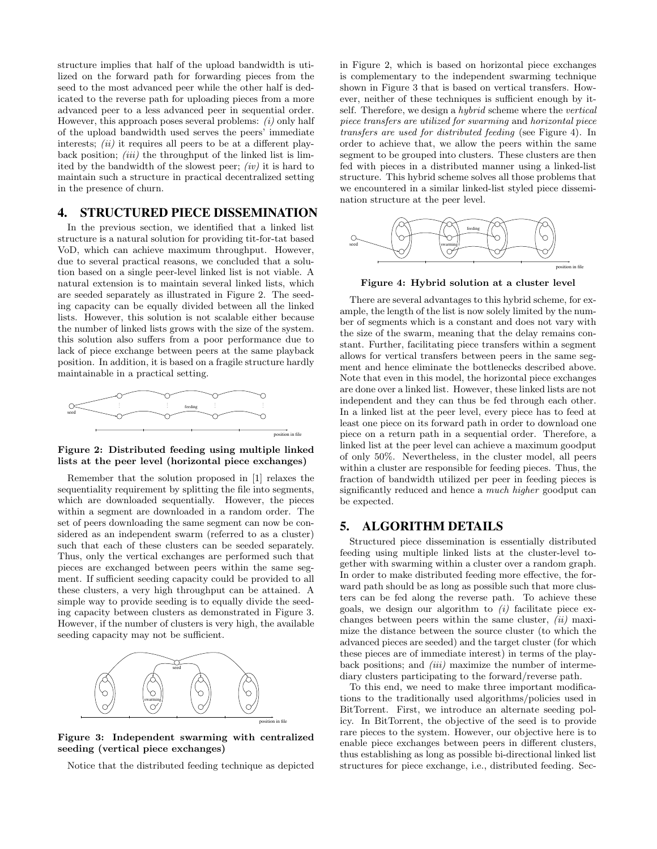structure implies that half of the upload bandwidth is utilized on the forward path for forwarding pieces from the seed to the most advanced peer while the other half is dedicated to the reverse path for uploading pieces from a more advanced peer to a less advanced peer in sequential order. However, this approach poses several problems:  $(i)$  only half of the upload bandwidth used serves the peers' immediate interests;  $(ii)$  it requires all peers to be at a different playback position;  $(iii)$  the throughput of the linked list is limited by the bandwidth of the slowest peer;  $(iv)$  it is hard to maintain such a structure in practical decentralized setting in the presence of churn.

# **4. STRUCTURED PIECE DISSEMINATION**

In the previous section, we identified that a linked list structure is a natural solution for providing tit-for-tat based VoD, which can achieve maximum throughput. However, due to several practical reasons, we concluded that a solution based on a single peer-level linked list is not viable. A natural extension is to maintain several linked lists, which are seeded separately as illustrated in Figure 2. The seeding capacity can be equally divided between all the linked lists. However, this solution is not scalable either because the number of linked lists grows with the size of the system. this solution also suffers from a poor performance due to lack of piece exchange between peers at the same playback position. In addition, it is based on a fragile structure hardly maintainable in a practical setting.



Figure 2: Distributed feeding using multiple linked lists at the peer level (horizontal piece exchanges)

Remember that the solution proposed in [1] relaxes the sequentiality requirement by splitting the file into segments, which are downloaded sequentially. However, the pieces within a segment are downloaded in a random order. The set of peers downloading the same segment can now be considered as an independent swarm (referred to as a cluster) such that each of these clusters can be seeded separately. Thus, only the vertical exchanges are performed such that pieces are exchanged between peers within the same segment. If sufficient seeding capacity could be provided to all these clusters, a very high throughput can be attained. A simple way to provide seeding is to equally divide the seeding capacity between clusters as demonstrated in Figure 3. However, if the number of clusters is very high, the available seeding capacity may not be sufficient.



Figure 3: Independent swarming with centralized seeding (vertical piece exchanges)

Notice that the distributed feeding technique as depicted

in Figure 2, which is based on horizontal piece exchanges is complementary to the independent swarming technique shown in Figure 3 that is based on vertical transfers. However, neither of these techniques is sufficient enough by itself. Therefore, we design a hybrid scheme where the vertical piece transfers are utilized for swarming and horizontal piece transfers are used for distributed feeding (see Figure 4). In order to achieve that, we allow the peers within the same segment to be grouped into clusters. These clusters are then fed with pieces in a distributed manner using a linked-list structure. This hybrid scheme solves all those problems that we encountered in a similar linked-list styled piece dissemination structure at the peer level.



Figure 4: Hybrid solution at a cluster level

There are several advantages to this hybrid scheme, for example, the length of the list is now solely limited by the number of segments which is a constant and does not vary with the size of the swarm, meaning that the delay remains constant. Further, facilitating piece transfers within a segment allows for vertical transfers between peers in the same segment and hence eliminate the bottlenecks described above. Note that even in this model, the horizontal piece exchanges are done over a linked list. However, these linked lists are not independent and they can thus be fed through each other. In a linked list at the peer level, every piece has to feed at least one piece on its forward path in order to download one piece on a return path in a sequential order. Therefore, a linked list at the peer level can achieve a maximum goodput of only 50%. Nevertheless, in the cluster model, all peers within a cluster are responsible for feeding pieces. Thus, the fraction of bandwidth utilized per peer in feeding pieces is significantly reduced and hence a much higher goodput can be expected.

#### **5. ALGORITHM DETAILS**

Structured piece dissemination is essentially distributed feeding using multiple linked lists at the cluster-level together with swarming within a cluster over a random graph. In order to make distributed feeding more effective, the forward path should be as long as possible such that more clusters can be fed along the reverse path. To achieve these goals, we design our algorithm to  $(i)$  facilitate piece exchanges between peers within the same cluster,  $(ii)$  maximize the distance between the source cluster (to which the advanced pieces are seeded) and the target cluster (for which these pieces are of immediate interest) in terms of the playback positions; and  $(iii)$  maximize the number of intermediary clusters participating to the forward/reverse path.

To this end, we need to make three important modifications to the traditionally used algorithms/policies used in BitTorrent. First, we introduce an alternate seeding policy. In BitTorrent, the objective of the seed is to provide rare pieces to the system. However, our objective here is to enable piece exchanges between peers in different clusters, thus establishing as long as possible bi-directional linked list structures for piece exchange, i.e., distributed feeding. Sec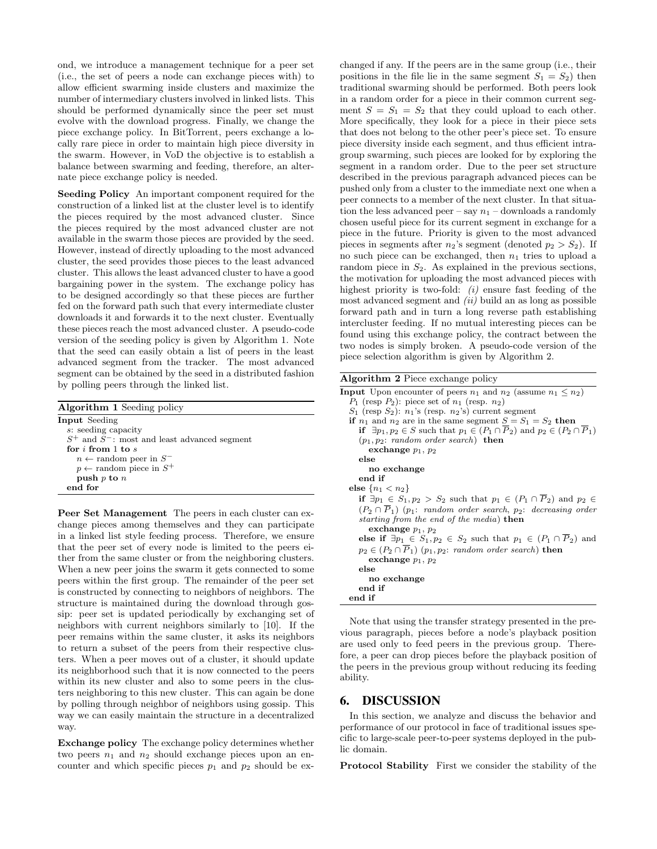ond, we introduce a management technique for a peer set (i.e., the set of peers a node can exchange pieces with) to allow efficient swarming inside clusters and maximize the number of intermediary clusters involved in linked lists. This should be performed dynamically since the peer set must evolve with the download progress. Finally, we change the piece exchange policy. In BitTorrent, peers exchange a locally rare piece in order to maintain high piece diversity in the swarm. However, in VoD the objective is to establish a balance between swarming and feeding, therefore, an alternate piece exchange policy is needed.

Seeding Policy An important component required for the construction of a linked list at the cluster level is to identify the pieces required by the most advanced cluster. Since the pieces required by the most advanced cluster are not available in the swarm those pieces are provided by the seed. However, instead of directly uploading to the most advanced cluster, the seed provides those pieces to the least advanced cluster. This allows the least advanced cluster to have a good bargaining power in the system. The exchange policy has to be designed accordingly so that these pieces are further fed on the forward path such that every intermediate cluster downloads it and forwards it to the next cluster. Eventually these pieces reach the most advanced cluster. A pseudo-code version of the seeding policy is given by Algorithm 1. Note that the seed can easily obtain a list of peers in the least advanced segment from the tracker. The most advanced segment can be obtained by the seed in a distributed fashion by polling peers through the linked list.

| <b>Algorithm 1</b> Seeding policy                 |
|---------------------------------------------------|
| <b>Input</b> Seeding                              |
| s: seeding capacity                               |
| $S^+$ and $S^-$ : most and least advanced segment |
| for $i$ from 1 to $s$                             |
| $n \leftarrow$ random peer in $S^-$               |
| $p \leftarrow$ random piece in $S^+$              |
| push $p$ to $n$                                   |
| end for                                           |

Peer Set Management The peers in each cluster can exchange pieces among themselves and they can participate in a linked list style feeding process. Therefore, we ensure that the peer set of every node is limited to the peers either from the same cluster or from the neighboring clusters. When a new peer joins the swarm it gets connected to some peers within the first group. The remainder of the peer set is constructed by connecting to neighbors of neighbors. The structure is maintained during the download through gossip: peer set is updated periodically by exchanging set of neighbors with current neighbors similarly to [10]. If the peer remains within the same cluster, it asks its neighbors to return a subset of the peers from their respective clusters. When a peer moves out of a cluster, it should update its neighborhood such that it is now connected to the peers within its new cluster and also to some peers in the clusters neighboring to this new cluster. This can again be done by polling through neighbor of neighbors using gossip. This way we can easily maintain the structure in a decentralized way.

Exchange policy The exchange policy determines whether two peers  $n_1$  and  $n_2$  should exchange pieces upon an encounter and which specific pieces  $p_1$  and  $p_2$  should be exchanged if any. If the peers are in the same group (i.e., their positions in the file lie in the same segment  $S_1 = S_2$ ) then traditional swarming should be performed. Both peers look in a random order for a piece in their common current segment  $S = S_1 = S_2$  that they could upload to each other. More specifically, they look for a piece in their piece sets that does not belong to the other peer's piece set. To ensure piece diversity inside each segment, and thus efficient intragroup swarming, such pieces are looked for by exploring the segment in a random order. Due to the peer set structure described in the previous paragraph advanced pieces can be pushed only from a cluster to the immediate next one when a peer connects to a member of the next cluster. In that situation the less advanced peer – say  $n_1$  – downloads a randomly chosen useful piece for its current segment in exchange for a piece in the future. Priority is given to the most advanced pieces in segments after  $n_2$ 's segment (denoted  $p_2 > S_2$ ). If no such piece can be exchanged, then  $n_1$  tries to upload a random piece in  $S_2$ . As explained in the previous sections, the motivation for uploading the most advanced pieces with highest priority is two-fold:  $(i)$  ensure fast feeding of the most advanced segment and  $(ii)$  build an as long as possible forward path and in turn a long reverse path establishing intercluster feeding. If no mutual interesting pieces can be found using this exchange policy, the contract between the two nodes is simply broken. A pseudo-code version of the piece selection algorithm is given by Algorithm 2.

| <b>Algorithm 2</b> Piece exchange policy                                                                          |
|-------------------------------------------------------------------------------------------------------------------|
| <b>Input</b> Upon encounter of peers $n_1$ and $n_2$ (assume $n_1 \leq n_2$ )                                     |
| $P_1$ (resp $P_2$ ): piece set of $n_1$ (resp. $n_2$ )                                                            |
| $S_1$ (resp $S_2$ ): $n_1$ 's (resp. $n_2$ 's) current segment                                                    |
| if $n_1$ and $n_2$ are in the same segment $S = S_1 = S_2$ then                                                   |
| if $\exists p_1, p_2 \in S$ such that $p_1 \in (P_1 \cap \overline{P_2})$ and $p_2 \in (P_2 \cap \overline{P_1})$ |
| $(p_1, p_2: random \ order \ search)$ then                                                                        |
| exchange $p_1, p_2$                                                                                               |
| else                                                                                                              |
| no exchange                                                                                                       |
| end if                                                                                                            |
| else $\{n_1 < n_2\}$                                                                                              |
| if $\exists p_1 \in S_1, p_2 > S_2$ such that $p_1 \in (P_1 \cap P_2)$ and $p_2 \in$                              |
| $(P_2 \cap \overline{P_1})$ (p <sub>1</sub> : random order search, p <sub>2</sub> : decreasing order              |
| starting from the end of the media) <b>then</b>                                                                   |
| exchange $p_1, p_2$                                                                                               |
| else if $\exists p_1 \in S_1, p_2 \in S_2$ such that $p_1 \in (P_1 \cap \overline{P}_2)$ and                      |
| $p_2 \in (P_2 \cap P_1)$ $(p_1, p_2: random \ order \ search)$ then                                               |
| exchange $p_1, p_2$                                                                                               |
| else                                                                                                              |
| no exchange                                                                                                       |
| end if                                                                                                            |
| end if                                                                                                            |

Note that using the transfer strategy presented in the previous paragraph, pieces before a node's playback position are used only to feed peers in the previous group. Therefore, a peer can drop pieces before the playback position of the peers in the previous group without reducing its feeding ability.

#### **6. DISCUSSION**

In this section, we analyze and discuss the behavior and performance of our protocol in face of traditional issues specific to large-scale peer-to-peer systems deployed in the public domain.

Protocol Stability First we consider the stability of the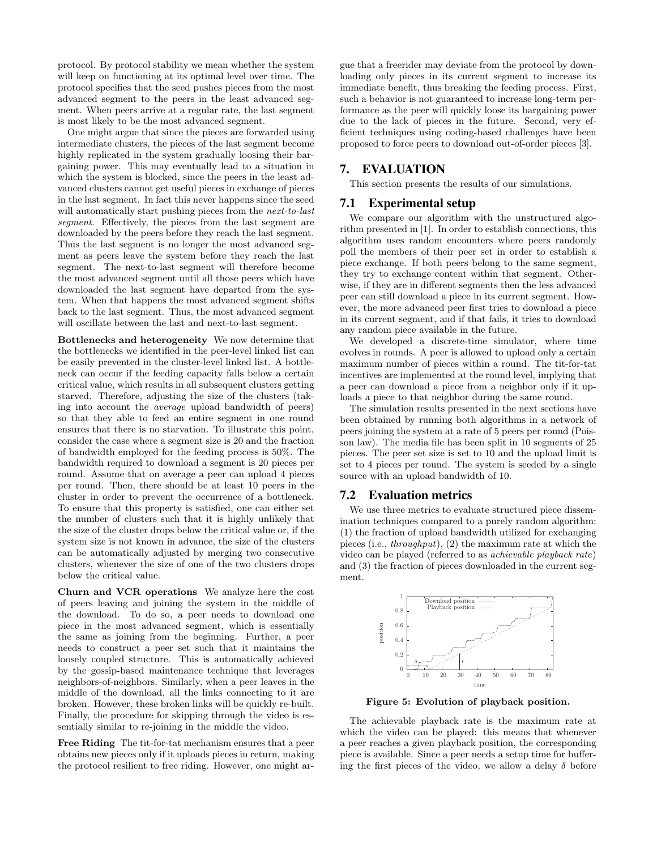protocol. By protocol stability we mean whether the system will keep on functioning at its optimal level over time. The protocol specifies that the seed pushes pieces from the most advanced segment to the peers in the least advanced segment. When peers arrive at a regular rate, the last segment is most likely to be the most advanced segment.

One might argue that since the pieces are forwarded using intermediate clusters, the pieces of the last segment become highly replicated in the system gradually loosing their bargaining power. This may eventually lead to a situation in which the system is blocked, since the peers in the least advanced clusters cannot get useful pieces in exchange of pieces in the last segment. In fact this never happens since the seed will automatically start pushing pieces from the *next-to-last* segment. Effectively, the pieces from the last segment are downloaded by the peers before they reach the last segment. Thus the last segment is no longer the most advanced segment as peers leave the system before they reach the last segment. The next-to-last segment will therefore become the most advanced segment until all those peers which have downloaded the last segment have departed from the system. When that happens the most advanced segment shifts back to the last segment. Thus, the most advanced segment will oscillate between the last and next-to-last segment.

Bottlenecks and heterogeneity We now determine that the bottlenecks we identified in the peer-level linked list can be easily prevented in the cluster-level linked list. A bottleneck can occur if the feeding capacity falls below a certain critical value, which results in all subsequent clusters getting starved. Therefore, adjusting the size of the clusters (taking into account the average upload bandwidth of peers) so that they able to feed an entire segment in one round ensures that there is no starvation. To illustrate this point, consider the case where a segment size is 20 and the fraction of bandwidth employed for the feeding process is 50%. The bandwidth required to download a segment is 20 pieces per round. Assume that on average a peer can upload 4 pieces per round. Then, there should be at least 10 peers in the cluster in order to prevent the occurrence of a bottleneck. To ensure that this property is satisfied, one can either set the number of clusters such that it is highly unlikely that the size of the cluster drops below the critical value or, if the system size is not known in advance, the size of the clusters can be automatically adjusted by merging two consecutive clusters, whenever the size of one of the two clusters drops below the critical value.

Churn and VCR operations We analyze here the cost of peers leaving and joining the system in the middle of the download. To do so, a peer needs to download one piece in the most advanced segment, which is essentially the same as joining from the beginning. Further, a peer needs to construct a peer set such that it maintains the loosely coupled structure. This is automatically achieved by the gossip-based maintenance technique that leverages neighbors-of-neighbors. Similarly, when a peer leaves in the middle of the download, all the links connecting to it are broken. However, these broken links will be quickly re-built. Finally, the procedure for skipping through the video is essentially similar to re-joining in the middle the video.

Free Riding The tit-for-tat mechanism ensures that a peer obtains new pieces only if it uploads pieces in return, making the protocol resilient to free riding. However, one might argue that a freerider may deviate from the protocol by downloading only pieces in its current segment to increase its immediate benefit, thus breaking the feeding process. First, such a behavior is not guaranteed to increase long-term performance as the peer will quickly loose its bargaining power due to the lack of pieces in the future. Second, very efficient techniques using coding-based challenges have been proposed to force peers to download out-of-order pieces [3].

#### **7. EVALUATION**

This section presents the results of our simulations.

#### **7.1 Experimental setup**

We compare our algorithm with the unstructured algorithm presented in [1]. In order to establish connections, this algorithm uses random encounters where peers randomly poll the members of their peer set in order to establish a piece exchange. If both peers belong to the same segment, they try to exchange content within that segment. Otherwise, if they are in different segments then the less advanced peer can still download a piece in its current segment. However, the more advanced peer first tries to download a piece in its current segment, and if that fails, it tries to download any random piece available in the future.

We developed a discrete-time simulator, where time evolves in rounds. A peer is allowed to upload only a certain maximum number of pieces within a round. The tit-for-tat incentives are implemented at the round level, implying that a peer can download a piece from a neighbor only if it uploads a piece to that neighbor during the same round.

The simulation results presented in the next sections have been obtained by running both algorithms in a network of peers joining the system at a rate of 5 peers per round (Poisson law). The media file has been split in 10 segments of 25 pieces. The peer set size is set to 10 and the upload limit is set to 4 pieces per round. The system is seeded by a single source with an upload bandwidth of 10.

## **7.2 Evaluation metrics**

We use three metrics to evaluate structured piece dissemination techniques compared to a purely random algorithm: (1) the fraction of upload bandwidth utilized for exchanging pieces (i.e., throughput), (2) the maximum rate at which the video can be played (referred to as achievable playback rate) and (3) the fraction of pieces downloaded in the current segment.



Figure 5: Evolution of playback position.

The achievable playback rate is the maximum rate at which the video can be played: this means that whenever a peer reaches a given playback position, the corresponding piece is available. Since a peer needs a setup time for buffering the first pieces of the video, we allow a delay  $\delta$  before